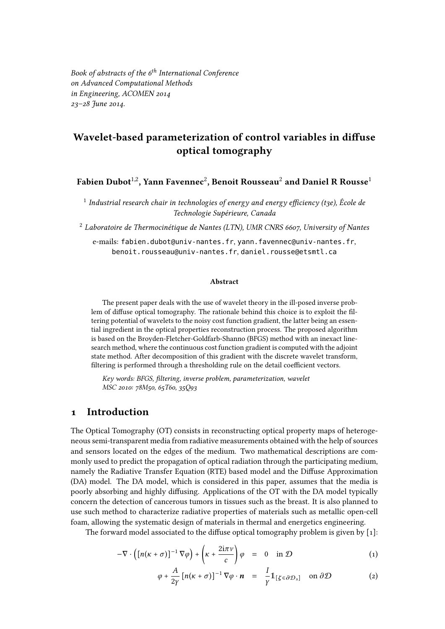Book of abstracts of the  $6<sup>th</sup>$  International Conference on Advanced Computational Methods in Engineering, ACOMEN 2014 23–28 June 2014.

# Wavelet-based parameterization of control variables in diffuse optical tomography

Fabien Dubot $^{\rm 1,2}$ , Yann Favennec $^{\rm 2}$ , Benoit Rousseau $^{\rm 2}$  and Daniel R Rousse $^{\rm 1}$ 

 $^{\rm 1}$  Industrial research chair in technologies of energy and energy efficiency (t3e), École de Technologie Supérieure, Canada

 $2$  Laboratoire de Thermocinétique de Nantes (LTN), UMR CNRS 6607, University of Nantes

e-mails: fabien.dubot@univ-nantes.fr, yann.favennec@univ-nantes.fr, benoit.rousseau@univ-nantes.fr, daniel.rousse@etsmtl.ca

#### Abstract

The present paper deals with the use of wavelet theory in the ill-posed inverse problem of diffuse optical tomography. The rationale behind this choice is to exploit the filtering potential of wavelets to the noisy cost function gradient, the latter being an essential ingredient in the optical properties reconstruction process. The proposed algorithm is based on the Broyden-Fletcher-Goldfarb-Shanno (BFGS) method with an inexact linesearch method, where the continuous cost function gradient is computed with the adjoint state method. After decomposition of this gradient with the discrete wavelet transform, filtering is performed through a thresholding rule on the detail coefficient vectors.

Key words: BFGS, filtering, inverse problem, parameterization, wavelet MSC 2010: 78M50, 65T60, 35Q93

#### 1 Introduction

The Optical Tomography (OT) consists in reconstructing optical property maps of heterogeneous semi-transparent media from radiative measurements obtained with the help of sources and sensors located on the edges of the medium. Two mathematical descriptions are commonly used to predict the propagation of optical radiation through the participating medium, namely the Radiative Transfer Equation (RTE) based model and the Diffuse Approximation (DA) model. The DA model, which is considered in this paper, assumes that the media is poorly absorbing and highly diffusing. Applications of the OT with the DA model typically concern the detection of cancerous tumors in tissues such as the breast. It is also planned to use such method to characterize radiative properties of materials such as metallic open-cell foam, allowing the systematic design of materials in thermal and energetics engineering.

The forward model associated to the diffuse optical tomography problem is given by  $[1]$ :

$$
-\nabla \cdot \left( \left[ n(\kappa + \sigma) \right]^{-1} \nabla \varphi \right) + \left( \kappa + \frac{2i\pi\nu}{c} \right) \varphi = 0 \quad \text{in } \mathcal{D}
$$
 (1)

$$
\varphi + \frac{A}{2\gamma} \left[ n(\kappa + \sigma) \right]^{-1} \nabla \varphi \cdot \boldsymbol{n} = \frac{I}{\gamma} \mathbb{1}_{\left[ \zeta \in \partial \mathcal{D}_s \right]} \quad \text{on } \partial \mathcal{D} \tag{2}
$$